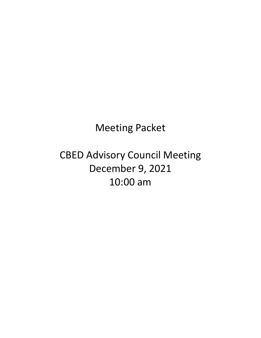Meeting Packet

CBED Advisory Council Meeting December 9, 2021 10:00 am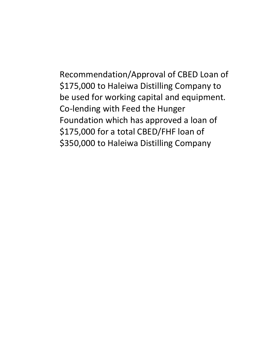Recommendation/Approval of CBED Loan of \$175,000 to Haleiwa Distilling Company to be used for working capital and equipment. Co-lending with Feed the Hunger Foundation which has approved a loan of \$175,000 for a total CBED/FHF loan of \$350,000 to Haleiwa Distilling Company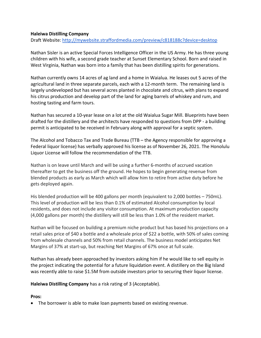# **Haleiwa Distilling Company**

Draft Website:<http://mywebsite.straffordmedia.com/preview/c818188c?device=desktop>

Nathan Sisler is an active Special Forces Intelligence Officer in the US Army. He has three young children with his wife, a second grade teacher at Sunset Elementary School. Born and raised in West Virginia, Nathan was born into a family that has been distilling spirits for generations.

Nathan currently owns 14 acres of ag land and a home in Waialua. He leases out 5 acres of the agricultural land in three separate parcels, each with a 12-month term. The remaining land is largely undeveloped but has several acres planted in chocolate and citrus, with plans to expand his citrus production and develop part of the land for aging barrels of whiskey and rum, and hosting tasting and farm tours.

Nathan has secured a 10-year lease on a lot at the old Waialua Sugar Mill. Blueprints have been drafted for the distillery and the architects have responded to questions from DPP - a building permit is anticipated to be received in February along with approval for a septic system.

The Alcohol and Tobacco Tax and Trade Bureau (TTB – the Agency responsible for approving a Federal liquor license) has verbally approved his license as of November 26, 2021. The Honolulu Liquor License will follow the recommendation of the TTB.

Nathan is on leave until March and will be using a further 6-months of accrued vacation thereafter to get the business off the ground. He hopes to begin generating revenue from blended products as early as March which will allow him to retire from active duty before he gets deployed again.

His blended production will be 400 gallons per month (equivalent to 2,000 bottles – 750mL). This level of production will be less than 0.1% of estimated Alcohol consumption by local residents, and does not include any visitor consumption. At maximum production capacity (4,000 gallons per month) the distillery will still be less than 1.0% of the resident market.

Nathan will be focused on building a premium niche product but has based his projections on a retail sales price of \$40 a bottle and a wholesale price of \$22 a bottle, with 50% of sales coming from wholesale channels and 50% from retail channels. The business model anticipates Net Margins of 37% at start-up, but reaching Net Margins of 67% once at full scale.

Nathan has already been approached by investors asking him if he would like to sell equity in the project indicating the potential for a future liquidation event. A distillery on the Big Island was recently able to raise \$1.5M from outside investors prior to securing their liquor license.

**Haleiwa Distilling Company** has a risk rating of 3 (Acceptable).

# **Pros:**

• The borrower is able to make loan payments based on existing revenue.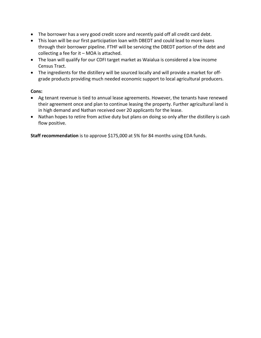- The borrower has a very good credit score and recently paid off all credit card debt.
- This loan will be our first participation loan with DBEDT and could lead to more loans through their borrower pipeline. FTHF will be servicing the DBEDT portion of the debt and collecting a fee for it – MOA is attached.
- The loan will qualify for our CDFI target market as Waialua is considered a low income Census Tract.
- The ingredients for the distillery will be sourced locally and will provide a market for offgrade products providing much needed economic support to local agricultural producers.

# **Cons:**

- Ag tenant revenue is tied to annual lease agreements. However, the tenants have renewed their agreement once and plan to continue leasing the property. Further agricultural land is in high demand and Nathan received over 20 applicants for the lease.
- Nathan hopes to retire from active duty but plans on doing so only after the distillery is cash flow positive.

**Staff recommendation** is to approve \$175,000 at 5% for 84 months using EDA funds.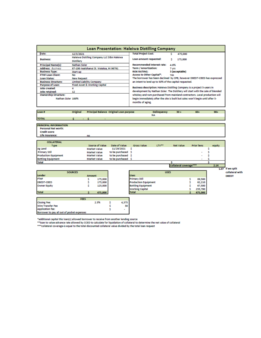| Loan Presentation: Haleiwa Distilling Company |                                                                 |                                                                            |                                                                         |                                                                                  |  |  |  |
|-----------------------------------------------|-----------------------------------------------------------------|----------------------------------------------------------------------------|-------------------------------------------------------------------------|----------------------------------------------------------------------------------|--|--|--|
| Date:                                         | 12/3/2021                                                       | <b>Total Project Cost:</b>                                                 |                                                                         | 475,000                                                                          |  |  |  |
| <b>Business:</b>                              | Haleiwa Distilling Company LLC DBA Haleiwa<br><b>Distillery</b> | Loan amount requested:                                                     |                                                                         | 175,000                                                                          |  |  |  |
| <b>Principal Name(s):</b>                     | <b>Nathan Sisler</b>                                            | <b>Recommended Interest rate:</b>                                          | 4.0%                                                                    |                                                                                  |  |  |  |
| <b>Address: Business</b>                      | 67-106 Kealohanui St. Waialua, HI 96791                         | Term / Amortization:                                                       | 7 yrs                                                                   |                                                                                  |  |  |  |
| <b>Business Type:</b>                         | Start-up                                                        | <b>RISK RATING:</b>                                                        |                                                                         | 3 (acceptable)                                                                   |  |  |  |
| <b>FTHF Loan Client:</b>                      | No                                                              | Access to Other Capital*:                                                  | Yes                                                                     |                                                                                  |  |  |  |
| Loan Status:<br><b>New Request</b>            |                                                                 |                                                                            | The borrower has been declined by CPB, however DBEDT-CBED has expressed |                                                                                  |  |  |  |
| <b>Business Structure:</b>                    | <b>Limited Liability Company</b>                                | an intent to lend up to 50% of the capital requested.                      |                                                                         |                                                                                  |  |  |  |
| <b>Purpose of Loan:</b>                       | <b>Fixed Asset &amp; Working Capital</b>                        |                                                                            |                                                                         |                                                                                  |  |  |  |
| <b>Jobs created:</b>                          | 4                                                               |                                                                            |                                                                         | Business description: Haleiwa Distilling Company is a project 5-years in         |  |  |  |
| Jobs retained:                                | 12                                                              |                                                                            |                                                                         | development by Nathan Sisler. The Distillery will start with the sale of blended |  |  |  |
| <b>Ownership Structure:</b>                   |                                                                 | whiskey and rum purchased from mainland contractors. Local production will |                                                                         |                                                                                  |  |  |  |
| Nathan Sisler 100%                            |                                                                 | months of aging.                                                           |                                                                         | begin immediately after the site is built but sales won't begin until after 5-   |  |  |  |

| Loan #                                     | Original       | <b>Principal Balance Original Loan purpose</b> |   |                    |                             | Delinquency | $30 +$                 | $60+$              | $90+$  |                  |
|--------------------------------------------|----------------|------------------------------------------------|---|--------------------|-----------------------------|-------------|------------------------|--------------------|--------|------------------|
|                                            |                |                                                |   |                    |                             | NΑ          |                        |                    |        |                  |
| <b>TOTAL</b>                               | $\blacksquare$ | - 5                                            |   |                    |                             |             |                        |                    |        |                  |
|                                            |                |                                                |   |                    |                             |             |                        |                    |        |                  |
| PRINCIPAL INFORMATION                      |                |                                                |   |                    |                             |             |                        |                    |        |                  |
| <b>Personal Net worth:</b>                 |                |                                                |   |                    |                             |             |                        |                    |        |                  |
| <b>Credit score:</b>                       |                |                                                |   |                    |                             |             |                        |                    |        |                  |
| Life Insurance:                            |                | no                                             |   |                    |                             |             |                        |                    |        |                  |
|                                            |                |                                                |   |                    |                             |             |                        |                    |        |                  |
| <b>COLLATERAL</b>                          |                |                                                |   |                    |                             |             |                        |                    |        |                  |
| <b>Type</b>                                |                | Source of Value                                |   | Date of Value      | <b>Gross Value</b>          | LTV**       | <b>Net Value</b>       | <b>Prior liens</b> | equity |                  |
| <b>Ag Land</b>                             |                | <b>Market Value</b>                            |   | 11/29/2021         | s                           |             |                        |                    |        |                  |
| <b>Primary Still</b>                       |                | <b>Market Value</b>                            |   | to be purchased \$ |                             |             |                        |                    |        |                  |
| <b>Production Equipment</b>                |                | <b>Market Value</b>                            |   | to be purchased \$ |                             |             |                        |                    |        |                  |
| <b>Bottling Equipment</b>                  |                | <b>Market Value</b>                            |   | to be purchased \$ |                             |             |                        |                    |        |                  |
| <b>Total</b>                               |                |                                                |   |                    |                             |             | ¢                      |                    |        |                  |
|                                            |                |                                                |   |                    |                             |             | Collateral coverage*** |                    | 2.14   |                  |
|                                            |                |                                                |   |                    |                             |             |                        |                    |        | 1.07 if we split |
| <b>SOURCES</b>                             |                |                                                |   |                    |                             |             | <b>USES</b>            |                    |        | collateral with  |
| Lender                                     |                | <b>Amount</b>                                  |   |                    | <b>Uses</b>                 |             |                        |                    |        | <b>DBEDT</b>     |
| <b>FTHF</b>                                |                | 175,000<br>s                                   |   |                    | <b>Primary Still</b>        |             |                        | 89,500             |        |                  |
| <b>DBEDT-CBED</b>                          |                | 175,000                                        |   |                    | <b>Production Equipment</b> |             |                        | 62,210             |        |                  |
| Owner Equity                               |                | 125,000                                        |   |                    | <b>Bottling Equipment</b>   |             |                        | 67,500             |        |                  |
|                                            |                |                                                |   |                    | <b>Working Capital</b>      |             |                        | 255,790            |        |                  |
| <b>Total</b>                               |                | 475,000                                        |   |                    | <b>Total</b>                |             |                        | 475,000            |        |                  |
|                                            |                |                                                |   |                    |                             |             |                        |                    |        |                  |
|                                            | <b>FEES</b>    |                                                |   |                    |                             |             |                        |                    |        |                  |
| <b>Closing Fee:</b>                        |                | 2.5%                                           | s | 4,375              |                             |             |                        |                    |        |                  |
| Wire Transfer Fee                          |                |                                                |   | 30                 |                             |             |                        |                    |        |                  |
| Application fee:                           |                |                                                |   | ٠                  |                             |             |                        |                    |        |                  |
| Borrower to pay all out of pocket expenses |                |                                                |   |                    |                             |             |                        |                    |        |                  |

\*additional capital this loan(s) allowed borrower to receive from another lending source<br>\*\*loan to value-advance rate allowed by CCED to calculate for liquidation of collateral to determine the net value of collateral<br>\*\*\*c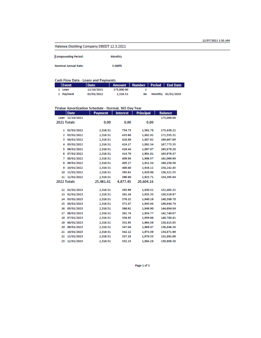## Haleiwa Distilling Company DBEDT 12.3.2021

| <b>Compounding Period:</b>  | Monthly |
|-----------------------------|---------|
| <b>Nominal Annual Rate:</b> | 3.000%  |

#### **Cash Flow Data - Loans and Payments**

| l Event   | l Date     | Amount   Number   Period   End Date |    |                    |
|-----------|------------|-------------------------------------|----|--------------------|
| 1 Loan    | 12/10/2021 | 175,000.00                          |    |                    |
| 2 Payment | 02/01/2022 | 2.316.51                            | RA | Monthly 01/01/2029 |

# TValue Amortization Schedule - Normal, 365 Day Year

|             | <b>Date</b> | <b>Payment</b> | <b>Interest</b> | <b>Principal</b> | <b>Balance</b> |
|-------------|-------------|----------------|-----------------|------------------|----------------|
| Loan        | 12/10/2021  |                |                 |                  | 175,000.00     |
| 2021 Totals |             | 0.00           | 0.00            | 0.00             |                |
|             |             |                |                 |                  |                |
| 1           | 02/01/2022  | 2,316.51       | 754.73          | 1,561.78         | 173,438.22     |
| 2           | 03/01/2022  | 2,316.51       | 433.60          | 1,882.91         | 171,555.31     |
| з           | 04/01/2022  | 2,316.51       | 428.89          | 1,887.62         | 169,667.69     |
| 4           | 05/01/2022  | 2,316.51       | 424.17          | 1,892.34         | 167.775.35     |
| 5           | 06/01/2022  | 2,316.51       | 419.44          | 1,897.07         | 165,878.28     |
| 6           | 07/01/2022  | 2,316.51       | 414.70          | 1,901.81         | 163,976.47     |
| 7           | 08/01/2022  | 2,316.51       | 409.94          | 1,906.57         | 162,069.90     |
| 8           | 09/01/2022  | 2,316.51       | 405.17          | 1,911.34         | 160,158.56     |
| 9           | 10/01/2022  | 2,316.51       | 400.40          | 1,916.11         | 158,242.45     |
| 10          | 11/01/2022  | 2,316.51       | 395.61          | 1,920.90         | 156,321.55     |
| 11          | 12/01/2022  | 2.316.51       | 390.80          | 1,925.71         | 154,395.84     |
| 2022 Totals |             | 25,481.61      | 4,877.45        | 20.604.16        |                |
|             |             |                |                 |                  |                |
| 12          | 01/01/2023  | 2,316.51       | 385.99          | 1,930.52         | 152,465.32     |
| 13          | 02/01/2023  | 2,316.51       | 381.16          | 1,935.35         | 150,529.97     |
| 14          | 03/01/2023  | 2,316.51       | 376.32          | 1,940.19         | 148,589.78     |
| 15          | 04/01/2023  | 2,316.51       | 371.47          | 1,945.04         | 146,644.74     |
| 16          | 05/01/2023  | 2,316.51       | 366.61          | 1,949.90         | 144,694.84     |
| 17          | 06/01/2023  | 2,316.51       | 361.74          | 1,954.77         | 142,740.07     |
| 18          | 07/01/2023  | 2,316.51       | 356.85          | 1,959.66         | 140,780.41     |
| 19          | 08/01/2023  | 2,316.51       | 351.95          | 1,964.56         | 138,815.85     |
| 20          | 09/01/2023  | 2,316.51       | 347.04          | 1,969.47         | 136,846.38     |
| 21          | 10/01/2023  | 2,316.51       | 342.12          | 1,974.39         | 134,871.99     |
| 22          | 11/01/2023  | 2,316.51       | 337.18          | 1,979.33         | 132,892.66     |
| 23          | 12/01/2023  | 2.316.51       | 332.23          | 1,984.28         | 130,908.38     |

Page 1 of 3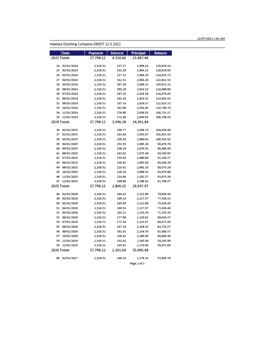#### Haleiwa Distilling Company DBEDT 12.3.2021

| <b>Date</b>      | <b>Payment</b> | <b>Interest</b> | Principal   | <b>Balance</b> |
|------------------|----------------|-----------------|-------------|----------------|
| 2023 Totals      | 27.798.12      | 4.310.66        | 23.487.46   |                |
|                  |                |                 |             |                |
| 01/01/2024<br>24 | 2,316.51       | 327.27          | 1,989.24    | 128,919.14     |
| 02/01/2024<br>25 | 2,316.51       | 322.30          | 1,994.21    | 126,924.93     |
| 03/01/2024<br>26 | 2,316.51       | 317.31          | 1,999.20    | 124,925.73     |
| 04/01/2024<br>27 | 2.316.51       | 312.31          | 2.004.20    | 122.921.53     |
| 28<br>05/01/2024 | 2,316.51       | 307.30          | 2,009.21    | 120,912.32     |
| 06/01/2024<br>29 | 2,316.51       | 302.28          | 2,014.23    | 118,898.09     |
| 07/01/2024<br>30 | 2,316.51       | 297.25          | 2,019.26    | 116,878.83     |
| 08/01/2024<br>31 | 2,316.51       | 292.20          | 2,024.31    | 114,854.52     |
| 32<br>09/01/2024 | 2,316.51       | 287.14          | 2,029.37    | 112,825.15     |
| 33<br>10/01/2024 | 2,316.51       | 282.06          | 2,034.45    | 110,790.70     |
| 11/01/2024<br>34 | 2,316.51       | 276.98          | 2,039.53    | 108,751.17     |
| 35<br>12/01/2024 | 2,316.51       | 271.88          | 2,044.63    | 106,706.54     |
| 2024 Totals      | 27,798.12      | 3.596.28        | 24.201.84   |                |
| 01/01/2025<br>36 | 2,316.51       | 266.77          | 2,049.74    | 104.656.80     |
| 02/01/2025<br>37 | 2,316.51       | 261.64          | 2,054.87    | 102,601.93     |
| 03/01/2025<br>38 | 2,316.51       | 256.50          | 2,060.01    | 100,541.92     |
| 04/01/2025<br>39 | 2,316.51       | 251.35          | 2,065.16    | 98,476.76      |
| 40<br>05/01/2025 | 2,316.51       | 246.19          | 2,070.32    | 96,406.44      |
| 06/01/2025<br>41 | 2,316.51       | 241.02          | 2,075.49    | 94,330.95      |
| 07/01/2025<br>42 | 2,316.51       | 235.83          | 2,080.68    | 92,250.27      |
| 43<br>08/01/2025 | 2,316.51       | 230.63          | 2,085.88    | 90,164.39      |
| 09/01/2025<br>44 | 2,316.51       | 225.41          | 2,091.10    | 88,073.29      |
| 10/01/2025<br>45 | 2,316.51       | 220.18          | 2,096.33    | 85,976.96      |
| 11/01/2025<br>46 | 2.316.51       | 214.94          | 2,101.57    | 83,875.39      |
| 12/01/2025<br>47 | 2,316.51       | 209.69          | 2,106.82    | 81,768.57      |
| 2025 Totals      | 27,798.12      | 2,860.15        | 24,937.97   |                |
|                  |                |                 |             |                |
| 01/01/2026<br>48 | 2,316.51       | 204.42          | 2,112.09    | 79,656.48      |
| 02/01/2026<br>49 | 2,316.51       | 199.14          | 2,117.37    | 77,539.11      |
| 03/01/2026<br>50 | 2,316.51       | 193.85          | 2,122.66    | 75,416.45      |
| 04/01/2026<br>51 | 2.316.51       | 188.54          | 2.127.97    | 73,288.48      |
| 52<br>05/01/2026 | 2,316.51       | 183.22          | 2,133.29    | 71,155.19      |
| 06/01/2026<br>53 | 2,316.51       | 177.89          | 2,138.62    | 69,016.57      |
| 07/01/2026<br>54 | 2,316.51       | 172.54          | 2,143.97    | 66,872.60      |
| 08/01/2026<br>55 | 2,316.51       | 167.18          | 2.149.33    | 64,723.27      |
| 09/01/2026<br>56 | 2,316.51       | 161.81          | 2,154.70    | 62,568.57      |
| 57<br>10/01/2026 | 2,316.51       | 156.42          | 2,160.09    | 60,408.48      |
| 11/01/2026<br>58 | 2,316.51       | 151.02          | 2,165.49    | 58,242.99      |
| 12/01/2026<br>59 | 2,316.51       | 145.61          | 2,170.90    | 56,072.09      |
| 2026 Totals      | 27,798.12      | 2.101.64        | 25.696.48   |                |
|                  |                |                 |             |                |
| 60 01/01/2027    | 2,316.51       | 140.18          | 2,176.33    | 53,895.76      |
|                  |                |                 | Page 2 of 3 |                |